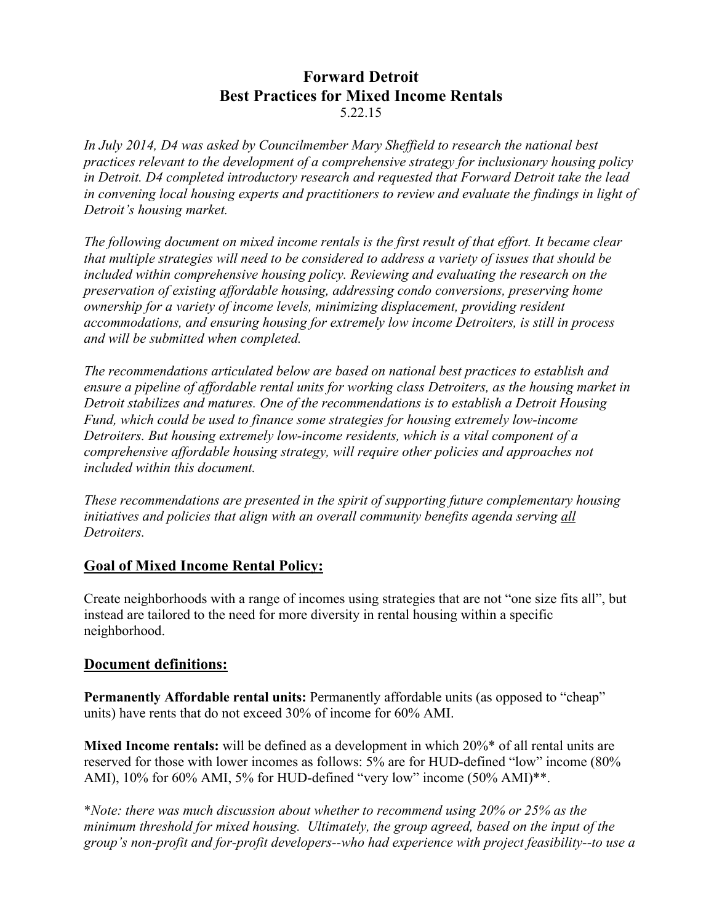# **Forward Detroit Best Practices for Mixed Income Rentals** 5.22.15

*In July 2014, D4 was asked by Councilmember Mary Sheffield to research the national best practices relevant to the development of a comprehensive strategy for inclusionary housing policy in Detroit. D4 completed introductory research and requested that Forward Detroit take the lead in convening local housing experts and practitioners to review and evaluate the findings in light of Detroit's housing market.*

*The following document on mixed income rentals is the first result of that effort. It became clear that multiple strategies will need to be considered to address a variety of issues that should be included within comprehensive housing policy. Reviewing and evaluating the research on the preservation of existing affordable housing, addressing condo conversions, preserving home ownership for a variety of income levels, minimizing displacement, providing resident accommodations, and ensuring housing for extremely low income Detroiters, is still in process and will be submitted when completed.*

*The recommendations articulated below are based on national best practices to establish and ensure a pipeline of affordable rental units for working class Detroiters, as the housing market in Detroit stabilizes and matures. One of the recommendations is to establish a Detroit Housing Fund, which could be used to finance some strategies for housing extremely low-income Detroiters. But housing extremely low-income residents, which is a vital component of a comprehensive affordable housing strategy, will require other policies and approaches not included within this document.*

*These recommendations are presented in the spirit of supporting future complementary housing initiatives and policies that align with an overall community benefits agenda serving all Detroiters.* 

# **Goal of Mixed Income Rental Policy:**

Create neighborhoods with a range of incomes using strategies that are not "one size fits all", but instead are tailored to the need for more diversity in rental housing within a specific neighborhood.

# **Document definitions:**

**Permanently Affordable rental units:** Permanently affordable units (as opposed to "cheap" units) have rents that do not exceed 30% of income for 60% AMI.

**Mixed Income rentals:** will be defined as a development in which 20%\* of all rental units are reserved for those with lower incomes as follows: 5% are for HUD-defined "low" income (80% AMI), 10% for 60% AMI, 5% for HUD-defined "very low" income (50% AMI)\*\*.

\**Note: there was much discussion about whether to recommend using 20% or 25% as the minimum threshold for mixed housing. Ultimately, the group agreed, based on the input of the group's non-profit and for-profit developers--who had experience with project feasibility--to use a*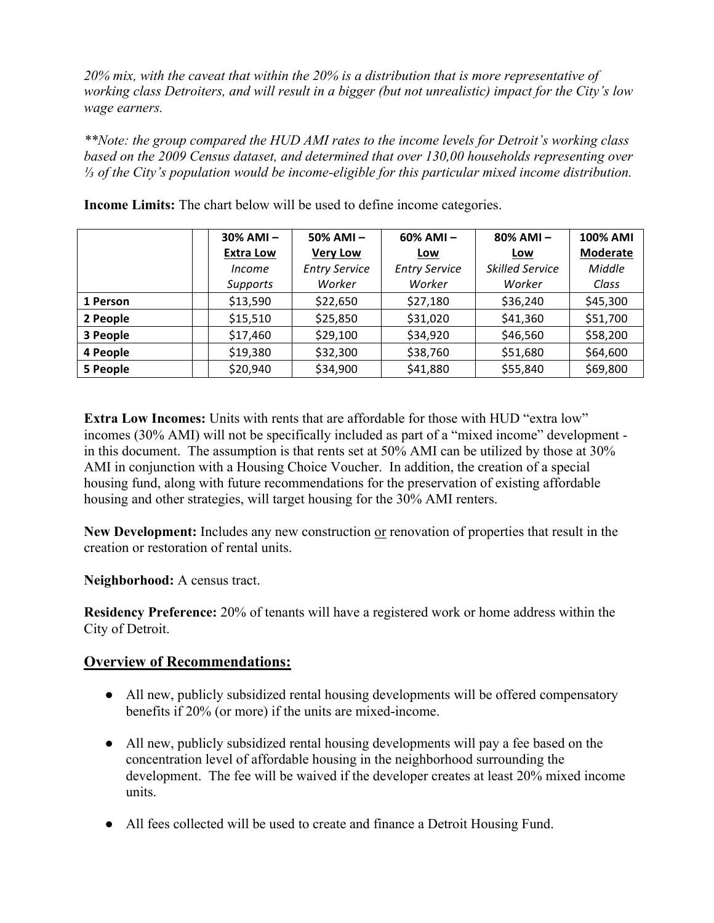*20% mix, with the caveat that within the 20% is a distribution that is more representative of working class Detroiters, and will result in a bigger (but not unrealistic) impact for the City's low wage earners.*

*\*\*Note: the group compared the HUD AMI rates to the income levels for Detroit's working class based on the 2009 Census dataset, and determined that over 130,00 households representing over ⅓ of the City's population would be income-eligible for this particular mixed income distribution.*

|          | $30\%$ AMI $-$   | 50% AMI-             | 60% AMI-             | 80% AMI-        | <b>100% AMI</b> |
|----------|------------------|----------------------|----------------------|-----------------|-----------------|
|          | <b>Extra Low</b> | <b>Very Low</b>      | Low                  | <u>Low</u>      | Moderate        |
|          | <i>Income</i>    | <b>Entry Service</b> | <b>Entry Service</b> | Skilled Service | Middle          |
|          | Supports         | Worker               | Worker               | Worker          | Class           |
| 1 Person | \$13,590         | \$22,650             | \$27,180             | \$36,240        | \$45,300        |
| 2 People | \$15,510         | \$25,850             | \$31,020             | \$41,360        | \$51,700        |
| 3 People | \$17,460         | \$29,100             | \$34,920             | \$46,560        | \$58,200        |
| 4 People | \$19,380         | \$32,300             | \$38,760             | \$51,680        | \$64,600        |
| 5 People | \$20,940         | \$34,900             | \$41,880             | \$55,840        | \$69,800        |

**Income Limits:** The chart below will be used to define income categories.

**Extra Low Incomes:** Units with rents that are affordable for those with HUD "extra low" incomes (30% AMI) will not be specifically included as part of a "mixed income" development in this document. The assumption is that rents set at 50% AMI can be utilized by those at 30% AMI in conjunction with a Housing Choice Voucher. In addition, the creation of a special housing fund, along with future recommendations for the preservation of existing affordable housing and other strategies, will target housing for the 30% AMI renters.

New Development: Includes any new construction or renovation of properties that result in the creation or restoration of rental units.

**Neighborhood:** A census tract.

**Residency Preference:** 20% of tenants will have a registered work or home address within the City of Detroit.

# **Overview of Recommendations:**

- All new, publicly subsidized rental housing developments will be offered compensatory benefits if 20% (or more) if the units are mixed-income.
- All new, publicly subsidized rental housing developments will pay a fee based on the concentration level of affordable housing in the neighborhood surrounding the development. The fee will be waived if the developer creates at least 20% mixed income units.
- All fees collected will be used to create and finance a Detroit Housing Fund.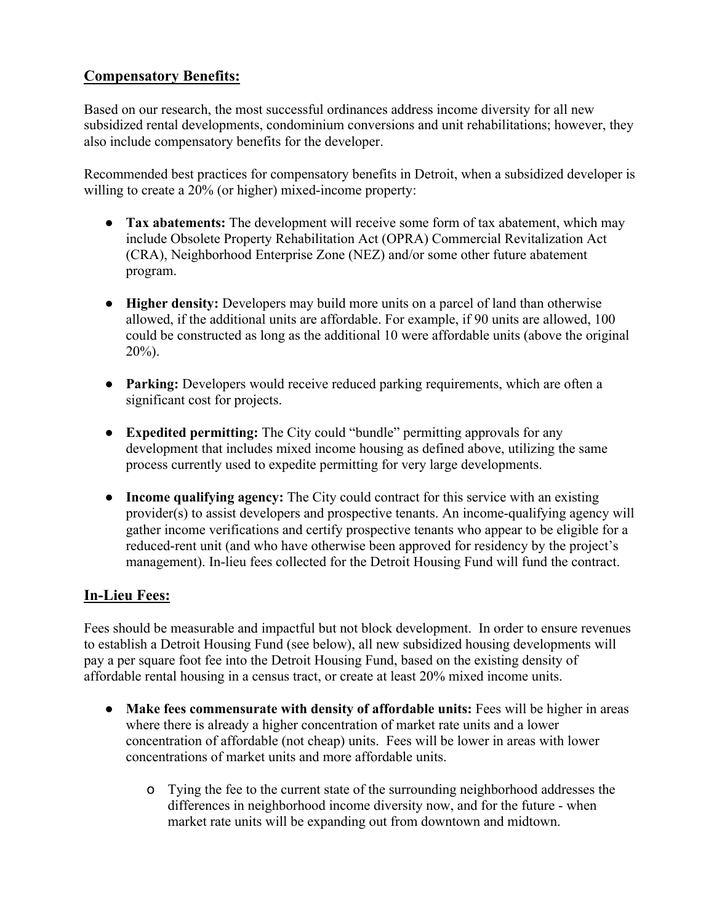# **Compensatory Benefits:**

Based on our research, the most successful ordinances address income diversity for all new subsidized rental developments, condominium conversions and unit rehabilitations; however, they also include compensatory benefits for the developer.

Recommended best practices for compensatory benefits in Detroit, when a subsidized developer is willing to create a 20% (or higher) mixed-income property:

- **Tax abatements:** The development will receive some form of tax abatement, which may include Obsolete Property Rehabilitation Act (OPRA) Commercial Revitalization Act (CRA), Neighborhood Enterprise Zone (NEZ) and/or some other future abatement program.
- **Higher density:** Developers may build more units on a parcel of land than otherwise allowed, if the additional units are affordable. For example, if 90 units are allowed, 100 could be constructed as long as the additional 10 were affordable units (above the original 20%).
- **Parking:** Developers would receive reduced parking requirements, which are often a significant cost for projects.
- **Expedited permitting:** The City could "bundle" permitting approvals for any development that includes mixed income housing as defined above, utilizing the same process currently used to expedite permitting for very large developments.
- **Income qualifying agency:** The City could contract for this service with an existing provider(s) to assist developers and prospective tenants. An income-qualifying agency will gather income verifications and certify prospective tenants who appear to be eligible for a reduced-rent unit (and who have otherwise been approved for residency by the project's management). In-lieu fees collected for the Detroit Housing Fund will fund the contract.

# **In-Lieu Fees:**

Fees should be measurable and impactful but not block development. In order to ensure revenues to establish a Detroit Housing Fund (see below), all new subsidized housing developments will pay a per square foot fee into the Detroit Housing Fund, based on the existing density of affordable rental housing in a census tract, or create at least 20% mixed income units.

- **Make fees commensurate with density of affordable units:** Fees will be higher in areas where there is already a higher concentration of market rate units and a lower concentration of affordable (not cheap) units. Fees will be lower in areas with lower concentrations of market units and more affordable units.
	- o Tying the fee to the current state of the surrounding neighborhood addresses the differences in neighborhood income diversity now, and for the future - when market rate units will be expanding out from downtown and midtown.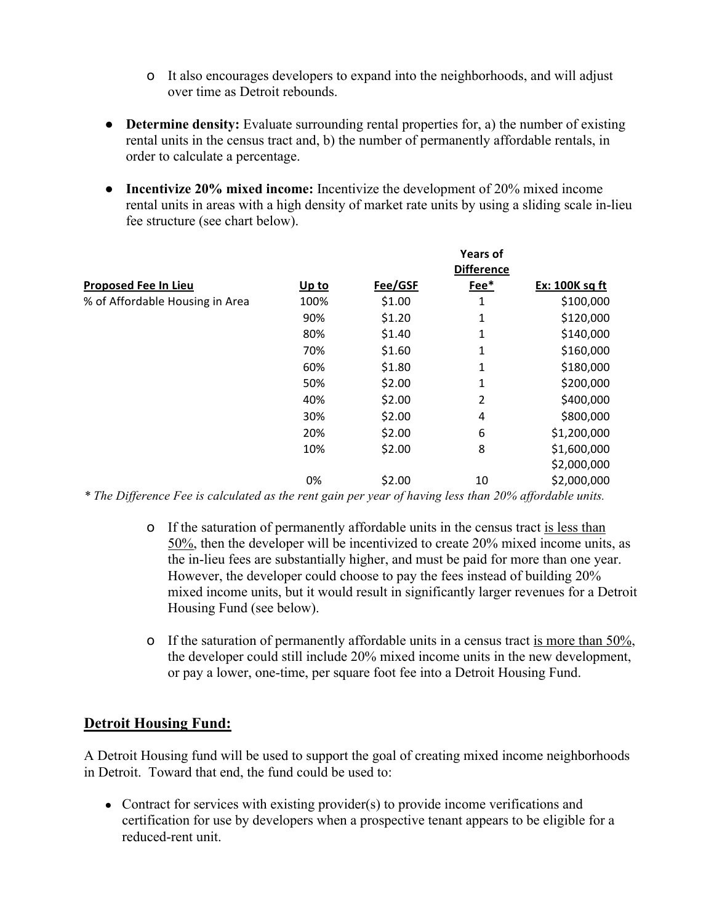- o It also encourages developers to expand into the neighborhoods, and will adjust over time as Detroit rebounds.
- **Determine density:** Evaluate surrounding rental properties for, a) the number of existing rental units in the census tract and, b) the number of permanently affordable rentals, in order to calculate a percentage.
- **Incentivize 20% mixed income:** Incentivize the development of 20% mixed income rental units in areas with a high density of market rate units by using a sliding scale in-lieu fee structure (see chart below).

|                                                                     |       |         | <b>Years of</b><br><b>Difference</b> |                |
|---------------------------------------------------------------------|-------|---------|--------------------------------------|----------------|
| <b>Proposed Fee In Lieu</b>                                         | Up to | Fee/GSF | Fee*                                 | Ex: 100K sq ft |
| % of Affordable Housing in Area                                     | 100%  | \$1.00  | 1                                    | \$100,000      |
|                                                                     | 90%   | \$1.20  | 1                                    | \$120,000      |
|                                                                     | 80%   | \$1.40  | 1                                    | \$140,000      |
|                                                                     | 70%   | \$1.60  | 1                                    | \$160,000      |
|                                                                     | 60%   | \$1.80  | 1                                    | \$180,000      |
|                                                                     | 50%   | \$2.00  | 1                                    | \$200,000      |
|                                                                     | 40%   | \$2.00  | 2                                    | \$400,000      |
|                                                                     | 30%   | \$2.00  | 4                                    | \$800,000      |
|                                                                     | 20%   | \$2.00  | 6                                    | \$1,200,000    |
|                                                                     | 10%   | \$2.00  | 8                                    | \$1,600,000    |
|                                                                     |       |         |                                      | \$2,000,000    |
|                                                                     | 0%    | \$2.00  | 10                                   | \$2,000,000    |
| $\mathbf{u}$ $\mathbf{m}$ $\mathbf{n}$ $\mathbf{m}$<br><del>.</del> |       |         | $\sim$ 0.0 $\prime$                  |                |

*\* The Difference Fee is calculated as the rent gain per year of having less than 20% affordable units.*

- o If the saturation of permanently affordable units in the census tract is less than 50%, then the developer will be incentivized to create 20% mixed income units, as the in-lieu fees are substantially higher, and must be paid for more than one year. However, the developer could choose to pay the fees instead of building 20% mixed income units, but it would result in significantly larger revenues for a Detroit Housing Fund (see below).
- o If the saturation of permanently affordable units in a census tract is more than 50%, the developer could still include 20% mixed income units in the new development, or pay a lower, one-time, per square foot fee into a Detroit Housing Fund.

# **Detroit Housing Fund:**

A Detroit Housing fund will be used to support the goal of creating mixed income neighborhoods in Detroit. Toward that end, the fund could be used to:

• Contract for services with existing provider(s) to provide income verifications and certification for use by developers when a prospective tenant appears to be eligible for a reduced-rent unit.